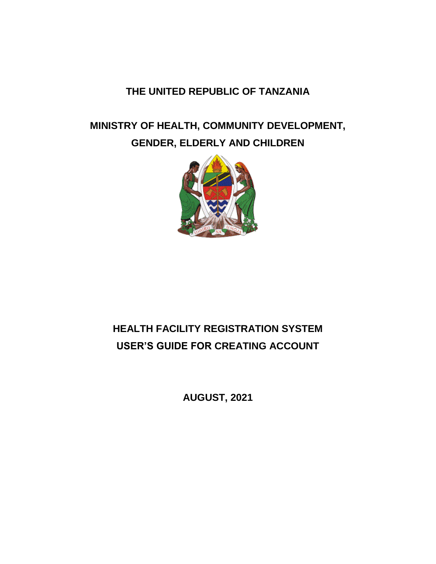## **THE UNITED REPUBLIC OF TANZANIA**

# **MINISTRY OF HEALTH, COMMUNITY DEVELOPMENT, GENDER, ELDERLY AND CHILDREN**



# **HEALTH FACILITY REGISTRATION SYSTEM USER'S GUIDE FOR CREATING ACCOUNT**

**AUGUST, 2021**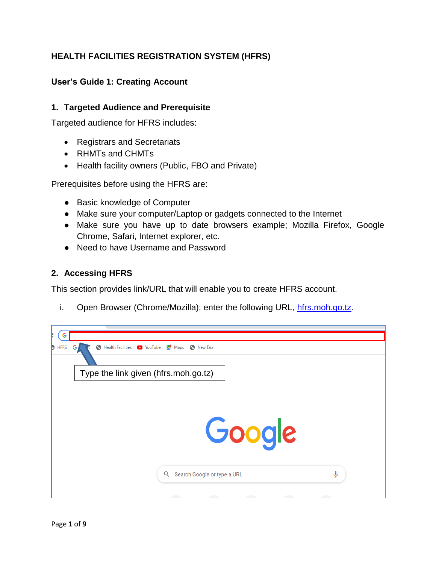## **HEALTH FACILITIES REGISTRATION SYSTEM (HFRS)**

#### **User's Guide 1: Creating Account**

#### **1. Targeted Audience and Prerequisite**

Targeted audience for HFRS includes:

- Registrars and Secretariats
- RHMTs and CHMTs
- Health facility owners (Public, FBO and Private)

Prerequisites before using the HFRS are:

- Basic knowledge of Computer
- Make sure your computer/Laptop or gadgets connected to the Internet
- Make sure you have up to date browsers example; Mozilla Firefox, Google Chrome, Safari, Internet explorer, etc.
- Need to have Username and Password

#### **2. Accessing HFRS**

This section provides link/URL that will enable you to create HFRS account.

i. Open Browser (Chrome/Mozilla); enter the following URL, [hfrs.moh.go.tz.](http://196.44.168.27/demo/web/)

| <b>HFRS</b><br>Ð | <b>6</b> Health Facilities <b>D</b> YouTube <b>X</b> Maps <b>6</b> New Tab<br>G, |  |
|------------------|----------------------------------------------------------------------------------|--|
|                  | Type the link given (hfrs.moh.go.tz)                                             |  |
|                  |                                                                                  |  |
|                  | Google                                                                           |  |
|                  |                                                                                  |  |
|                  | ه<br>Search Google or type a URL<br>Q                                            |  |
|                  |                                                                                  |  |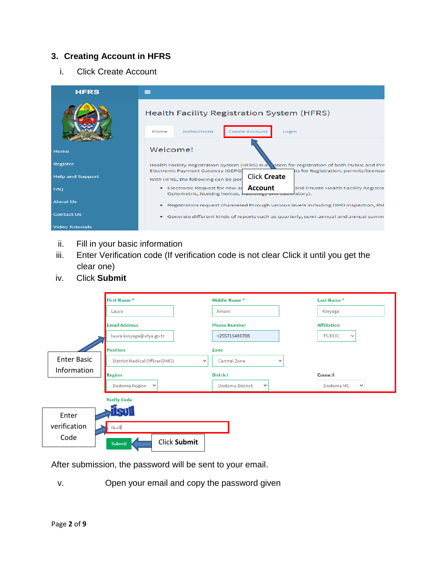### **3. Creating Account in HFRS**

i. Click Create Account



- ii. Fill in your basic information
- iii. Enter Verification code (If verification code is not clear Click it until you get the clear one)
- iv. Click **Submit**

|                    | First Name*                                   | Middle Name*                    | Last Name*                    |
|--------------------|-----------------------------------------------|---------------------------------|-------------------------------|
|                    | Laura                                         | Amani                           | Kinyaga                       |
|                    | <b>Email Address</b>                          | <b>Phone Number</b>             | <b>Affiliation</b>            |
|                    | laura.kinyaga@afya.go.tz                      | +255715486708                   | <b>PUBLIC</b><br>$\checkmark$ |
|                    | <b>Position</b>                               | Zone                            |                               |
| <b>Enter Basic</b> | District Medical Officer(DMO)<br>$\checkmark$ | Central Zone<br>$\checkmark$    |                               |
| Information        | Region                                        | <b>District</b>                 | Council                       |
|                    | Dodoma Region<br>$\checkmark$                 | Dodoma District<br>$\checkmark$ | Dodoma MC<br>$\checkmark$     |
|                    | <b>Verify Code</b>                            |                                 |                               |
| Enter              | SUL                                           |                                 |                               |
| verification       | iisull                                        |                                 |                               |
| Code               | <b>Click Submit</b><br><b>Submit</b>          |                                 |                               |

After submission, the password will be sent to your email.

v. Open your email and copy the password given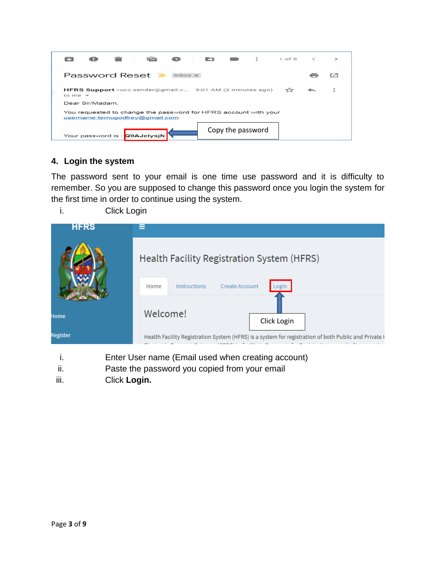|           |                       |                                                                                                                                                            |                | <b>Executive</b> |                   | $\ddot{=}$ | $1$ of 8 |  |
|-----------|-----------------------|------------------------------------------------------------------------------------------------------------------------------------------------------------|----------------|------------------|-------------------|------------|----------|--|
|           | <b>Password Reset</b> |                                                                                                                                                            | $lnbox \times$ |                  |                   |            |          |  |
| to me $-$ |                       | HFRS Support <ucc.sender@gmail.c (2="" 9:01="" ago)<="" am="" minutes="" td=""><td></td><td></td><td></td><td></td><td></td><td></td></ucc.sender@gmail.c> |                |                  |                   |            |          |  |
|           | Dear Sir/Madam.       |                                                                                                                                                            |                |                  |                   |            |          |  |
|           |                       | You requested to change the password for HFRS account with your<br>username:temugodfrey@gmail.com                                                          |                |                  |                   |            |          |  |
|           |                       | Your password is: Q9AJelysjN                                                                                                                               |                |                  | Copy the password |            |          |  |

### **4. Login the system**

The password sent to your email is one time use password and it is difficulty to remember. So you are supposed to change this password once you login the system for the first time in order to continue using the system.

i. Click Login

| <b>HFRS</b> | ⋿                                                                                                    |
|-------------|------------------------------------------------------------------------------------------------------|
|             | Health Facility Registration System (HFRS)                                                           |
|             | <b>Create Account</b><br>Instructions<br>Home<br>ogin                                                |
| Home        | Welcome!<br>Click Login                                                                              |
| Register    | Health Facility Registration System (HFRS) is a system for registration of both Public and Private I |
|             |                                                                                                      |

- i. Enter User name (Email used when creating account)
- ii. Paste the password you copied from your email
- iii. Click **Login.**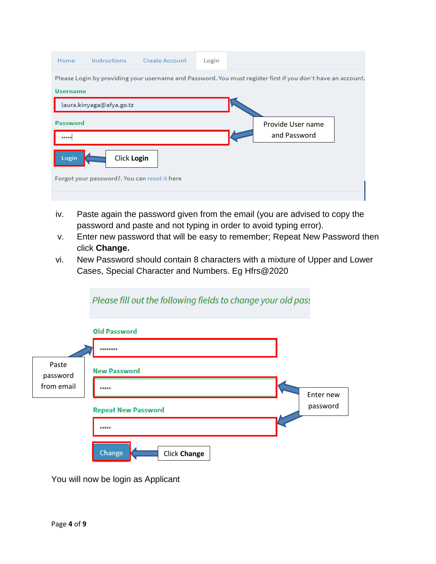| Home                                                                                                                           | Instructions                                 | <b>Create Account</b> | Login |                                   |  |  |  |  |
|--------------------------------------------------------------------------------------------------------------------------------|----------------------------------------------|-----------------------|-------|-----------------------------------|--|--|--|--|
| Please Login by providing your username and Password. You must register first if you don't have an account.<br><b>Username</b> |                                              |                       |       |                                   |  |  |  |  |
|                                                                                                                                | laura.kinyaga@afya.go.tz                     |                       |       |                                   |  |  |  |  |
| Password                                                                                                                       |                                              |                       |       | Provide User name<br>and Password |  |  |  |  |
| Login                                                                                                                          | Click Login                                  |                       |       |                                   |  |  |  |  |
|                                                                                                                                | Forgot your password?. You can reset it here |                       |       |                                   |  |  |  |  |
|                                                                                                                                |                                              |                       |       |                                   |  |  |  |  |

- iv. Paste again the password given from the email (you are advised to copy the password and paste and not typing in order to avoid typing error).
- v. Enter new password that will be easy to remember; Repeat New Password then click **Change.**
- vi. New Password should contain 8 characters with a mixture of Upper and Lower Cases, Special Character and Numbers. Eg Hfrs@2020



You will now be login as Applicant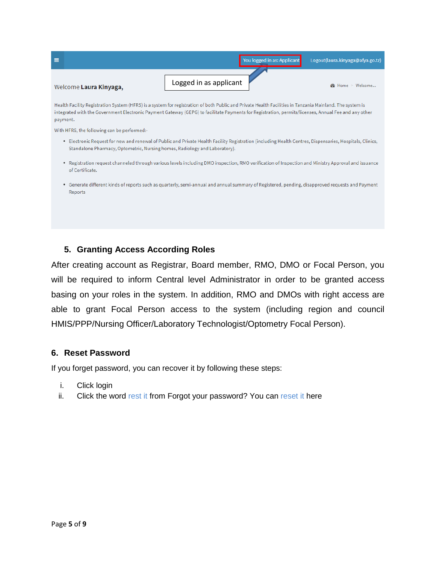

Health Facility Registration System (HFRS) is a system for registration of both Public and Private Health Facilities in Tanzania Mainland. The system is integrated with the Government Electronic Payment Gateway (GEPG) to facilitate Payments for Registration, permits/licenses, Annual Fee and any other payment.

With HFRS, the following can be performed:-

- . Electronic Request for new and renewal of Public and Private Health Facility Registration (including Health Centres, Dispensaries, Hospitals, Clinics, Standalone Pharmacy, Optometric, Nursing homes, Radiology and Laboratory).
- Registration request channeled through various levels including DMO inspection, RMO verification of Inspection and Ministry Approval and issuance of Certificate.
- Generate different kinds of reports such as quarterly, semi-annual and annual summary of Registered, pending, disapproved requests and Payment Reports

#### **5. Granting Access According Roles**

After creating account as Registrar, Board member, RMO, DMO or Focal Person, you will be required to inform Central level Administrator in order to be granted access basing on your roles in the system. In addition, RMO and DMOs with right access are able to grant Focal Person access to the system (including region and council HMIS/PPP/Nursing Officer/Laboratory Technologist/Optometry Focal Person).

#### **6. Reset Password**

If you forget password, you can recover it by following these steps:

- i. Click login
- ii. Click the word rest it from Forgot your password? You can reset it here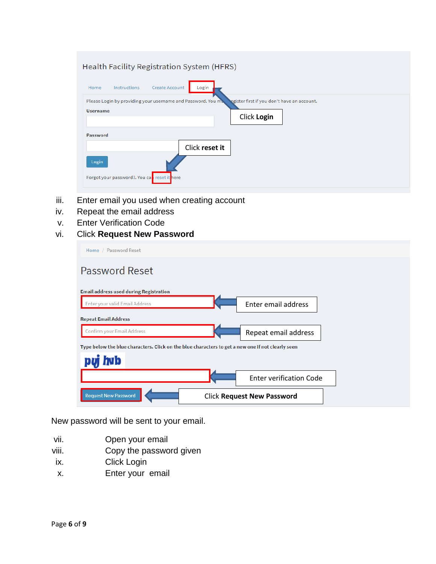| Health Facility Registration System (HFRS)                                                                                                   |
|----------------------------------------------------------------------------------------------------------------------------------------------|
| <b>Create Account</b><br>Login<br>Instructions<br>Home                                                                                       |
| Please Login by providing your username and Password. You m<br>egister first if you don't have an account.<br><b>Username</b><br>Click Login |
| Password                                                                                                                                     |
| Click reset it<br>Login<br>Forgot your password?. You care reset it here                                                                     |

- iii. Enter email you used when creating account
- iv. Repeat the email address
- v. Enter Verification Code
- vi. Click **Request New Password**

| Home / Password Reset                                                                             |                                   |
|---------------------------------------------------------------------------------------------------|-----------------------------------|
| Password Reset                                                                                    |                                   |
| <b>Email address used during Registration</b>                                                     |                                   |
| Enter your valid Email Address                                                                    | Enter email address               |
| <b>Repeat Email Address</b>                                                                       |                                   |
| <b>Confirm your Email Address</b>                                                                 | Repeat email address              |
| Type below the blue characters. Click on the blue characters to get a new one if not clearly seen |                                   |
| puj hub                                                                                           |                                   |
|                                                                                                   | <b>Enter verification Code</b>    |
| <b>Request New Password</b>                                                                       | <b>Click Request New Password</b> |

New password will be sent to your email.

- vii. Open your email
- viii. Copy the password given
- ix. Click Login
- x. Enter your email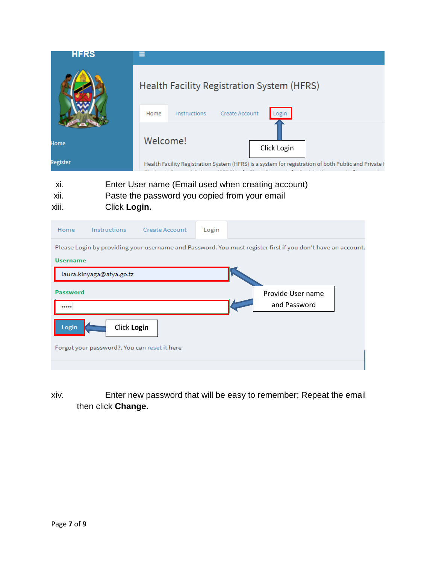| <b>HFRS</b> |                                                                                                      |
|-------------|------------------------------------------------------------------------------------------------------|
|             | Health Facility Registration System (HFRS)                                                           |
|             | <b>Create Account</b><br>Instructions<br>Home<br>ogin                                                |
| Home        | Welcome!<br>Click Login                                                                              |
| Register    | Health Facility Registration System (HFRS) is a system for registration of both Public and Private I |
|             |                                                                                                      |

- xi. Enter User name (Email used when creating account)
- xii. Paste the password you copied from your email
- xiii. Click **Login.**

| Home                                         | Instructions             | <b>Create Account</b> | Login |  |                                                                                                             |  |
|----------------------------------------------|--------------------------|-----------------------|-------|--|-------------------------------------------------------------------------------------------------------------|--|
|                                              |                          |                       |       |  | Please Login by providing your username and Password. You must register first if you don't have an account. |  |
| <b>Username</b>                              |                          |                       |       |  |                                                                                                             |  |
|                                              | laura.kinyaga@afya.go.tz |                       |       |  |                                                                                                             |  |
| Password                                     |                          |                       |       |  | Provide User name                                                                                           |  |
|                                              |                          |                       |       |  | and Password                                                                                                |  |
| Login                                        | Click Login              |                       |       |  |                                                                                                             |  |
| Forgot your password?. You can reset it here |                          |                       |       |  |                                                                                                             |  |
|                                              |                          |                       |       |  |                                                                                                             |  |

xiv. Enter new password that will be easy to remember; Repeat the email then click **Change.**